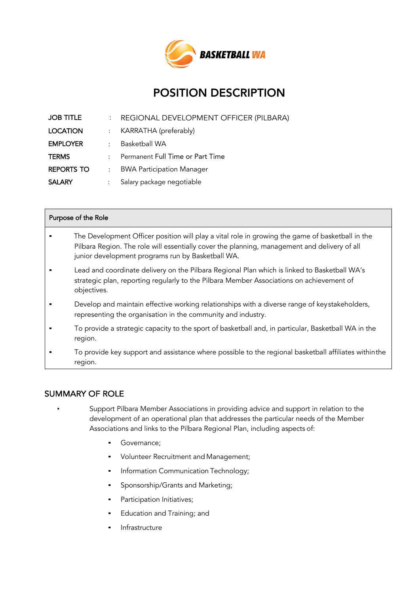

# POSITION DESCRIPTION

| <b>JOB TITLE</b>  | $\ddot{\phantom{0}}$      | REGIONAL DEVELOPMENT OFFICER (PILBARA) |
|-------------------|---------------------------|----------------------------------------|
| <b>LOCATION</b>   |                           | : KARRATHA (preferably)                |
| <b>EMPLOYER</b>   | $\mathbb{R}^{\mathbb{Z}}$ | <b>Basketball WA</b>                   |
| <b>TERMS</b>      | $\mathcal{L}$             | Permanent Full Time or Part Time       |
| <b>REPORTS TO</b> | $\mathcal{L}$             | <b>BWA Participation Manager</b>       |
| <b>SALARY</b>     |                           | Salary package negotiable              |

| Purpose of the Role |                                                                                                                                                                                                                                                       |  |  |
|---------------------|-------------------------------------------------------------------------------------------------------------------------------------------------------------------------------------------------------------------------------------------------------|--|--|
|                     | The Development Officer position will play a vital role in growing the game of basketball in the<br>Pilbara Region. The role will essentially cover the planning, management and delivery of all<br>junior development programs run by Basketball WA. |  |  |
|                     | Lead and coordinate delivery on the Pilbara Regional Plan which is linked to Basketball WA's<br>strategic plan, reporting regularly to the Pilbara Member Associations on achievement of<br>objectives.                                               |  |  |
|                     | Develop and maintain effective working relationships with a diverse range of keystakeholders,<br>representing the organisation in the community and industry.                                                                                         |  |  |
|                     | To provide a strategic capacity to the sport of basketball and, in particular, Basketball WA in the<br>region.                                                                                                                                        |  |  |
|                     | To provide key support and assistance where possible to the regional basketball affiliates withinthe                                                                                                                                                  |  |  |

# SUMMARY OF ROLE

region.

- Support Pilbara Member Associations in providing advice and support in relation to the development of an operational plan that addresses the particular needs of the Member Associations and links to the Pilbara Regional Plan, including aspects of:
	- Governance;
	- Volunteer Recruitment and Management;
	- **•** Information Communication Technology;
	- Sponsorship/Grants and Marketing;
	- **•** Participation Initiatives;
	- **•** Education and Training; and
	- Infrastructure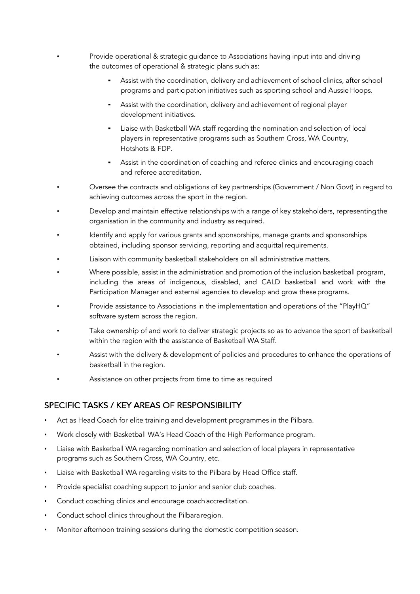• Provide operational & strategic guidance to Associations having input into and driving the outcomes of operational & strategic plans such as:

- Assist with the coordination, delivery and achievement of school clinics, after school programs and participation initiatives such as sporting school and Aussie Hoops.
- **EXEL Assist with the coordination, delivery and achievement of regional player** development initiatives.
- **EXED 10** Liaise with Basketball WA staff regarding the nomination and selection of local players in representative programs such as Southern Cross, WA Country, Hotshots & FDP.
- **EXEL Assist in the coordination of coaching and referee clinics and encouraging coach** and referee accreditation.
- Oversee the contracts and obligations of key partnerships (Government / Non Govt) in regard to achieving outcomes across the sport in the region.
- Develop and maintain effective relationships with a range of key stakeholders, representingthe organisation in the community and industry as required.
- Identify and apply for various grants and sponsorships, manage grants and sponsorships obtained, including sponsor servicing, reporting and acquittal requirements.
- Liaison with community basketball stakeholders on all administrative matters.
- Where possible, assist in the administration and promotion of the inclusion basketball program, including the areas of indigenous, disabled, and CALD basketball and work with the Participation Manager and external agencies to develop and grow these programs.
- Provide assistance to Associations in the implementation and operations of the "PlayHQ" software system across the region.
- Take ownership of and work to deliver strategic projects so as to advance the sport of basketball within the region with the assistance of Basketball WA Staff.
- Assist with the delivery & development of policies and procedures to enhance the operations of basketball in the region.
- Assistance on other projects from time to time as required

# SPECIFIC TASKS / KEY AREAS OF RESPONSIBILITY

- Act as Head Coach for elite training and development programmes in the Pilbara.
- Work closely with Basketball WA's Head Coach of the High Performance program.
- Liaise with Basketball WA regarding nomination and selection of local players in representative programs such as Southern Cross, WA Country, etc.
- Liaise with Basketball WA regarding visits to the Pilbara by Head Office staff.
- Provide specialist coaching support to junior and senior club coaches.
- Conduct coaching clinics and encourage coach accreditation.
- Conduct school clinics throughout the Pilbara region.
- Monitor afternoon training sessions during the domestic competition season.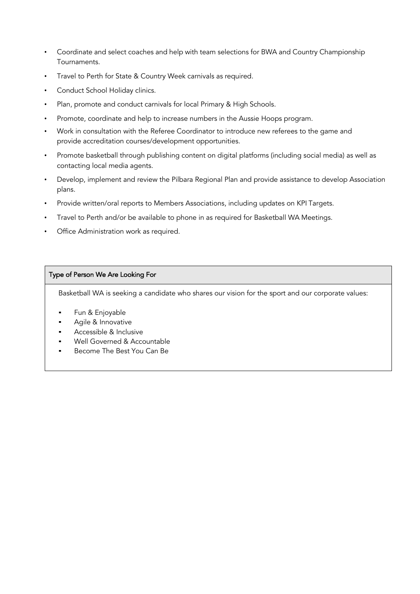- Coordinate and select coaches and help with team selections for BWA and Country Championship Tournaments.
- Travel to Perth for State & Country Week carnivals as required.
- Conduct School Holiday clinics.
- Plan, promote and conduct carnivals for local Primary & High Schools.
- Promote, coordinate and help to increase numbers in the Aussie Hoops program.
- Work in consultation with the Referee Coordinator to introduce new referees to the game and provide accreditation courses/development opportunities.
- Promote basketball through publishing content on digital platforms (including social media) as well as contacting local media agents.
- Develop, implement and review the Pilbara Regional Plan and provide assistance to develop Association plans.
- Provide written/oral reports to Members Associations, including updates on KPI Targets.
- Travel to Perth and/or be available to phone in as required for Basketball WA Meetings.
- Office Administration work as required.

## Type of Person We Are Looking For

Basketball WA is seeking a candidate who shares our vision for the sport and our corporate values:

- Fun & Enjoyable
- Agile & Innovative
- Accessible & Inclusive
- Well Governed & Accountable
- Become The Best You Can Be